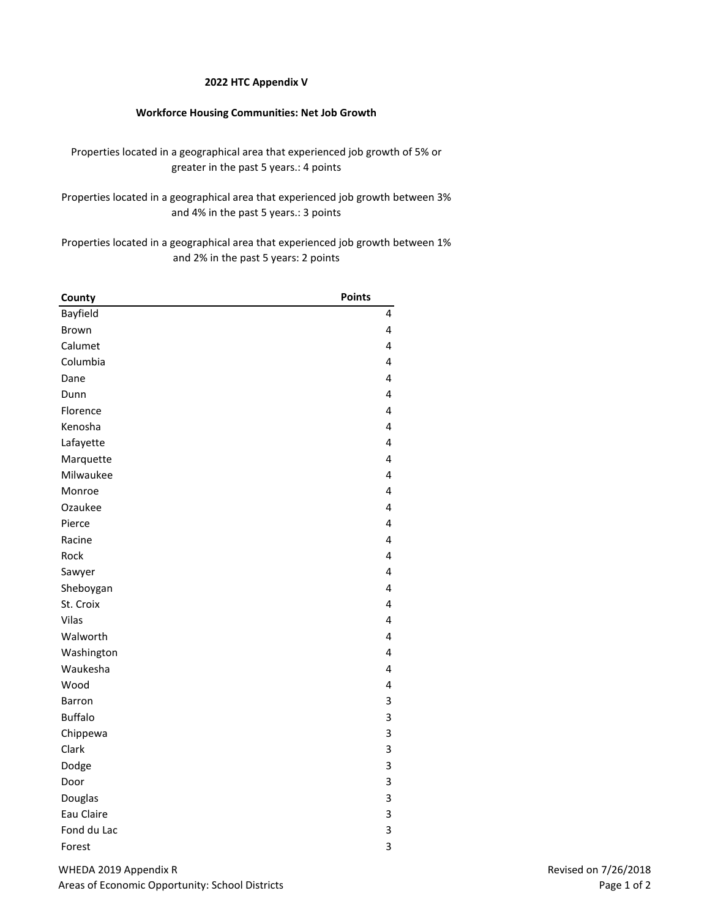## **2022 HTC Appendix V**

## **Workforce Housing Communities: Net Job Growth**

Properties located in a geographical area that experienced job growth of 5% or greater in the past 5 years.: 4 points

Properties located in a geographical area that experienced job growth between 3% and 4% in the past 5 years.: 3 points

Properties located in a geographical area that experienced job growth between 1% and 2% in the past 5 years: 2 points

| County         | <b>Points</b> |
|----------------|---------------|
| Bayfield       | 4             |
| Brown          | 4             |
| Calumet        | 4             |
| Columbia       | 4             |
| Dane           | 4             |
| Dunn           | 4             |
| Florence       | 4             |
| Kenosha        | 4             |
| Lafayette      | 4             |
| Marquette      | 4             |
| Milwaukee      | 4             |
| Monroe         | 4             |
| Ozaukee        | 4             |
| Pierce         | 4             |
| Racine         | 4             |
| Rock           | 4             |
| Sawyer         | 4             |
| Sheboygan      | 4             |
| St. Croix      | 4             |
| Vilas          | 4             |
| Walworth       | 4             |
| Washington     | 4             |
| Waukesha       | 4             |
| Wood           | 4             |
| Barron         | 3             |
| <b>Buffalo</b> | 3             |
| Chippewa       | 3             |
| Clark          | 3             |
| Dodge          | 3             |
| Door           | 3             |
| Douglas        | 3             |
| Eau Claire     | 3             |
| Fond du Lac    | 3             |
| Forest         | 3             |